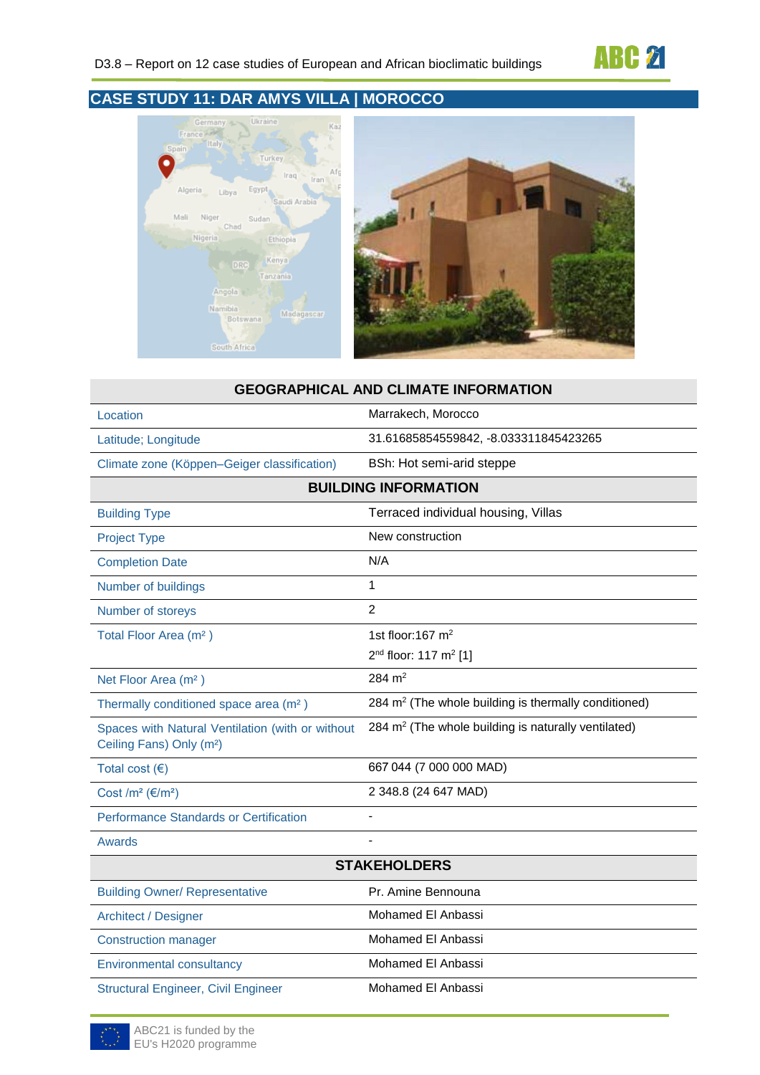

## **CASE STUDY 11: DAR AMYS VILLA | MOROCCO**





# **GEOGRAPHICAL AND CLIMATE INFORMATION** Location **Marrakech, Morocco** Latitude; Longitude 31.61685854559842, -8.033311845423265 Climate zone (Köppen–Geiger classification) BSh: Hot semi-arid steppe **BUILDING INFORMATION** Building Type Terraced individual housing, Villas Project Type **New construction** Completion Date N/A Number of buildings 1 Number of storeys 2 Total Floor Area  $(m<sup>2</sup>)$  1st floor:167 m<sup>2</sup>  $2<sup>nd</sup>$  floor: 117 m<sup>2</sup> [1] Net Floor Area (m<sup>2</sup>) 284 m<sup>2</sup> Thermally conditioned space area  $(m<sup>2</sup>)$  $284 \text{ m}^2$  (The whole building is thermally conditioned) Spaces with Natural Ventilation (with or without Ceiling Fans) Only (m²) 284 m<sup>2</sup> (The whole building is naturally ventilated) Total cost (€) 667 044 (7 000 000 MAD) Cost /m² (€/m²) 2 348.8 (24 647 MAD) Performance Standards or Certification **Awards STAKEHOLDERS** Building Owner/ Representative Pr. Amine Bennouna Architect / Designer Mohamed El Anbassi Construction manager Mohamed El Anbassi Environmental consultancy Mohamed El Anbassi

Structural Engineer, Civil Engineer Mohamed El Anbassi

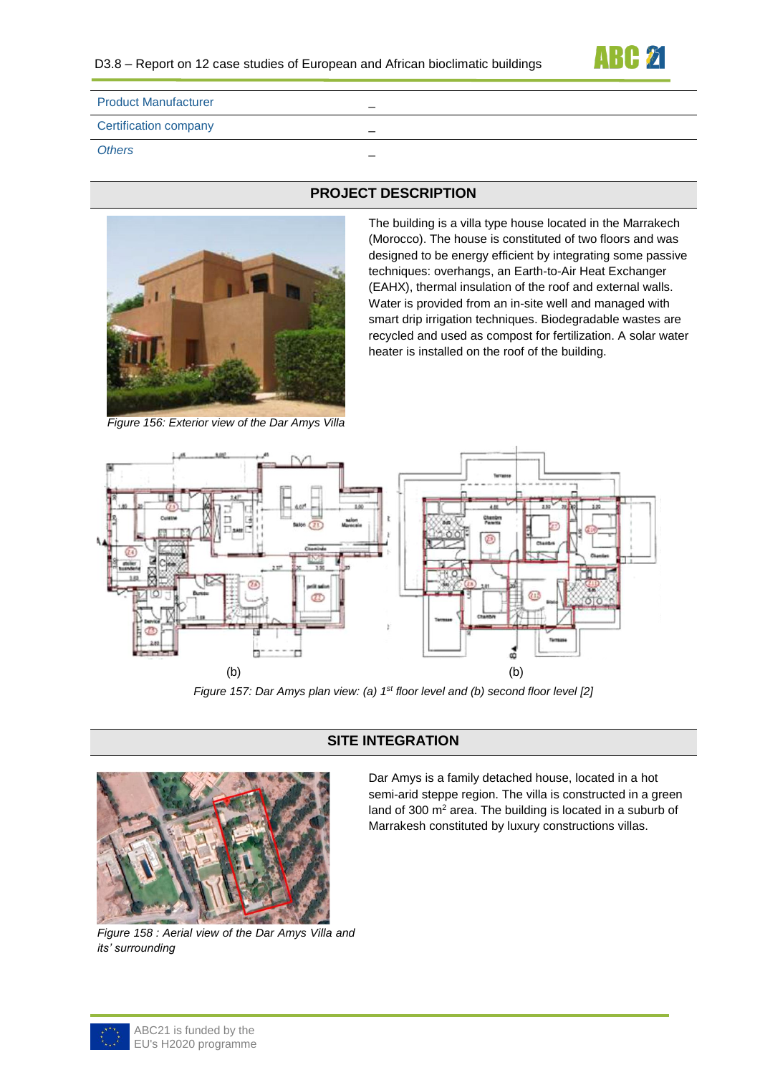

| <b>Product Manufacturer</b>  |   |
|------------------------------|---|
| <b>Certification company</b> | – |
| <b>Others</b>                | – |



## **PROJECT DESCRIPTION**

The building is a villa type house located in the Marrakech (Morocco). The house is constituted of two floors and was designed to be energy efficient by integrating some passive techniques: overhangs, an Earth-to-Air Heat Exchanger (EAHX), thermal insulation of the roof and external walls. Water is provided from an in-site well and managed with smart drip irrigation techniques. Biodegradable wastes are recycled and used as compost for fertilization. A solar water heater is installed on the roof of the building.

*Figure 156: Exterior view of the Dar Amys Villa*



*Figure 157: Dar Amys plan view: (a) 1<sup>st</sup> floor level and (b) second floor level [2]* 

## **SITE INTEGRATION**



*Figure 158 : Aerial view of the Dar Amys Villa and its' surrounding*

Dar Amys is a family detached house, located in a hot semi-arid steppe region. The villa is constructed in a green land of 300 m<sup>2</sup> area. The building is located in a suburb of Marrakesh constituted by luxury constructions villas.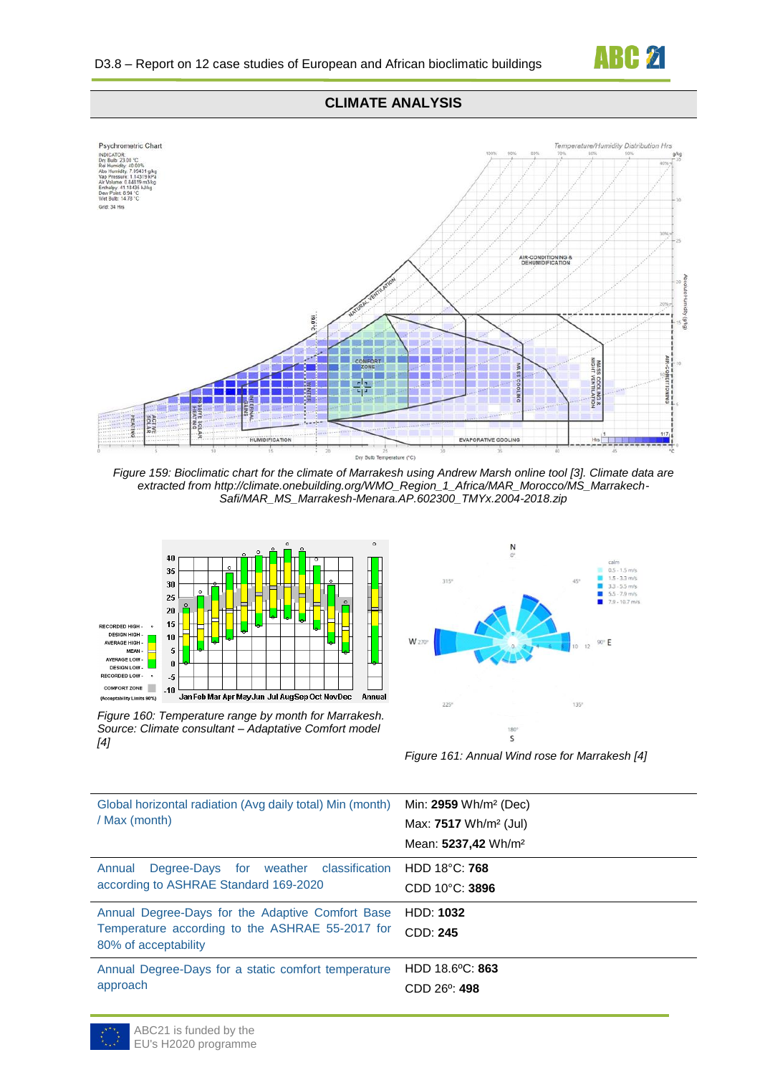

#### **CLIMATE ANALYSIS**



*Figure 159: Bioclimatic chart for the climate of Marrakesh using Andrew Marsh online tool [3]. Climate data are extracted from http://climate.onebuilding.org/WMO\_Region\_1\_Africa/MAR\_Morocco/MS\_Marrakech-Safi/MAR\_MS\_Marrakesh-Menara.AP.602300\_TMYx.2004-2018.zip*



*Figure 160: Temperature range by month for Marrakesh. Source: Climate consultant – Adaptative Comfort model [4]*



*Figure 161: Annual Wind rose for Marrakesh [4]*

| Global horizontal radiation (Avg daily total) Min (month)<br>/ Max (month)                                                  | Min: 2959 Wh/m <sup>2</sup> (Dec)<br>Max: $7517$ Wh/m <sup>2</sup> (Jul)<br>Mean: 5237,42 Wh/m <sup>2</sup> |
|-----------------------------------------------------------------------------------------------------------------------------|-------------------------------------------------------------------------------------------------------------|
| Degree-Days for weather classification<br>Annual<br>according to ASHRAE Standard 169-2020                                   | HDD 18°C: 768<br>$CDD 10^{\circ}$ C: 3896                                                                   |
| Annual Degree-Days for the Adaptive Comfort Base<br>Temperature according to the ASHRAE 55-2017 for<br>80% of acceptability | <b>HDD: 1032</b><br>CDD: 245                                                                                |
| Annual Degree-Days for a static comfort temperature<br>approach                                                             | HDD 18.6°C: 863<br>$CDD 26^{\circ}$ : 498                                                                   |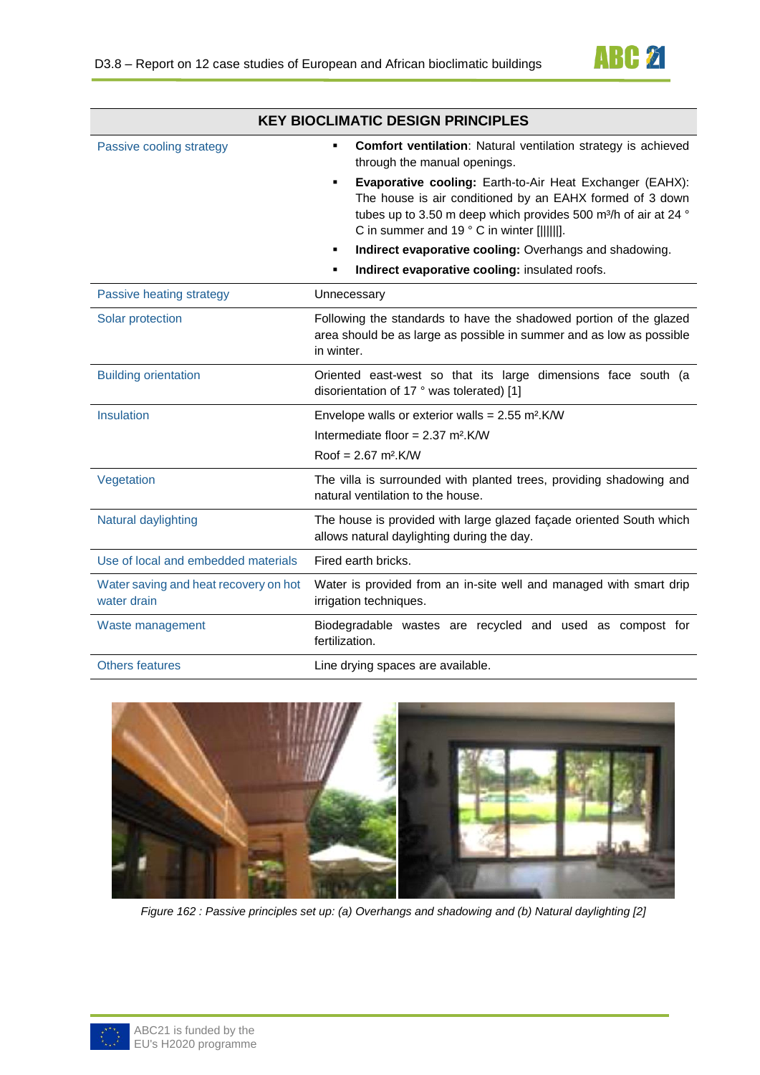

| <b>KEY BIOCLIMATIC DESIGN PRINCIPLES</b>             |                                                                                                                                                                                                                                                         |
|------------------------------------------------------|---------------------------------------------------------------------------------------------------------------------------------------------------------------------------------------------------------------------------------------------------------|
| Passive cooling strategy                             | <b>Comfort ventilation:</b> Natural ventilation strategy is achieved<br>٠<br>through the manual openings.                                                                                                                                               |
|                                                      | Evaporative cooling: Earth-to-Air Heat Exchanger (EAHX):<br>٠<br>The house is air conditioned by an EAHX formed of 3 down<br>tubes up to 3.50 m deep which provides 500 m <sup>3</sup> /h of air at 24 °<br>C in summer and 19 ° C in winter [[[[[[]]]. |
|                                                      | Indirect evaporative cooling: Overhangs and shadowing.<br>٠                                                                                                                                                                                             |
|                                                      | Indirect evaporative cooling: insulated roofs.<br>٠                                                                                                                                                                                                     |
| Passive heating strategy                             | Unnecessary                                                                                                                                                                                                                                             |
| Solar protection                                     | Following the standards to have the shadowed portion of the glazed<br>area should be as large as possible in summer and as low as possible<br>in winter.                                                                                                |
| <b>Building orientation</b>                          | Oriented east-west so that its large dimensions face south (a<br>disorientation of 17 ° was tolerated) [1]                                                                                                                                              |
| Insulation                                           | Envelope walls or exterior walls = $2.55$ m <sup>2</sup> .K/W                                                                                                                                                                                           |
|                                                      | Intermediate floor = $2.37$ m <sup>2</sup> .K/W                                                                                                                                                                                                         |
|                                                      | $Root = 2.67 m2$ .K/W                                                                                                                                                                                                                                   |
| Vegetation                                           | The villa is surrounded with planted trees, providing shadowing and<br>natural ventilation to the house.                                                                                                                                                |
| Natural daylighting                                  | The house is provided with large glazed façade oriented South which<br>allows natural daylighting during the day.                                                                                                                                       |
| Use of local and embedded materials                  | Fired earth bricks.                                                                                                                                                                                                                                     |
| Water saving and heat recovery on hot<br>water drain | Water is provided from an in-site well and managed with smart drip<br>irrigation techniques.                                                                                                                                                            |
| Waste management                                     | Biodegradable wastes are recycled and used as compost for<br>fertilization.                                                                                                                                                                             |
| <b>Others features</b>                               | Line drying spaces are available.                                                                                                                                                                                                                       |



*Figure 162 : Passive principles set up: (a) Overhangs and shadowing and (b) Natural daylighting [2]*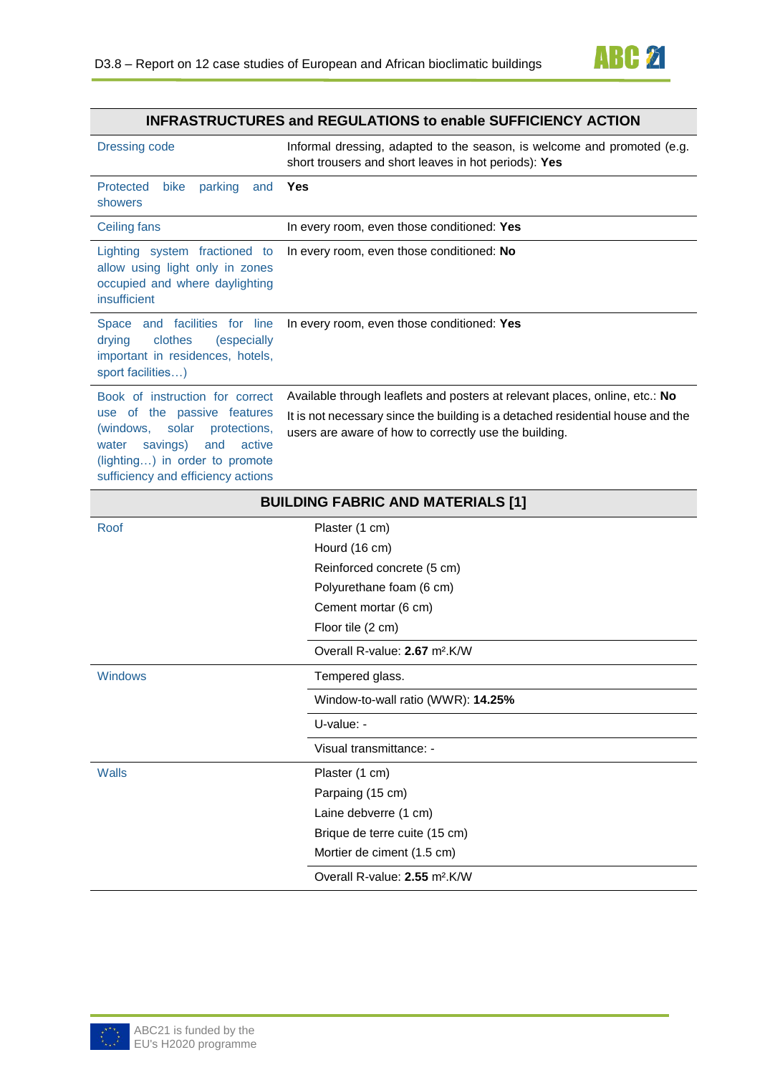

### **INFRASTRUCTURES and REGULATIONS to enable SUFFICIENCY ACTION**

| Dressing code                                                                                                                                                                                                      | Informal dressing, adapted to the season, is welcome and promoted (e.g.<br>short trousers and short leaves in hot periods): Yes                                                                                        |
|--------------------------------------------------------------------------------------------------------------------------------------------------------------------------------------------------------------------|------------------------------------------------------------------------------------------------------------------------------------------------------------------------------------------------------------------------|
| Protected<br>bike<br>parking<br>and<br>showers                                                                                                                                                                     | Yes                                                                                                                                                                                                                    |
| Ceiling fans                                                                                                                                                                                                       | In every room, even those conditioned: Yes                                                                                                                                                                             |
| Lighting system fractioned to<br>allow using light only in zones<br>occupied and where daylighting<br>insufficient                                                                                                 | In every room, even those conditioned: No                                                                                                                                                                              |
| Space and facilities for line<br>clothes<br>drying<br>(especially<br>important in residences, hotels,<br>sport facilities)                                                                                         | In every room, even those conditioned: Yes                                                                                                                                                                             |
| Book of instruction for correct<br>use of the passive features<br>(windows,<br>solar<br>protections,<br>savings)<br>water<br>and<br>active<br>(lighting) in order to promote<br>sufficiency and efficiency actions | Available through leaflets and posters at relevant places, online, etc.: No<br>It is not necessary since the building is a detached residential house and the<br>users are aware of how to correctly use the building. |
| <b>BUILDING FABRIC AND MATERIALS [1]</b>                                                                                                                                                                           |                                                                                                                                                                                                                        |

| Plaster (1 cm)                            |
|-------------------------------------------|
| Hourd (16 cm)                             |
| Reinforced concrete (5 cm)                |
| Polyurethane foam (6 cm)                  |
| Cement mortar (6 cm)                      |
| Floor tile (2 cm)                         |
| Overall R-value: 2.67 m <sup>2</sup> .K/W |
| Tempered glass.                           |
| Window-to-wall ratio (WWR): 14.25%        |
| U-value: -                                |
| Visual transmittance: -                   |
| Plaster (1 cm)                            |
| Parpaing (15 cm)                          |
| Laine debverre (1 cm)                     |
| Brique de terre cuite (15 cm)             |
| Mortier de ciment (1.5 cm)                |
| Overall R-value: 2.55 m <sup>2</sup> .K/W |
|                                           |

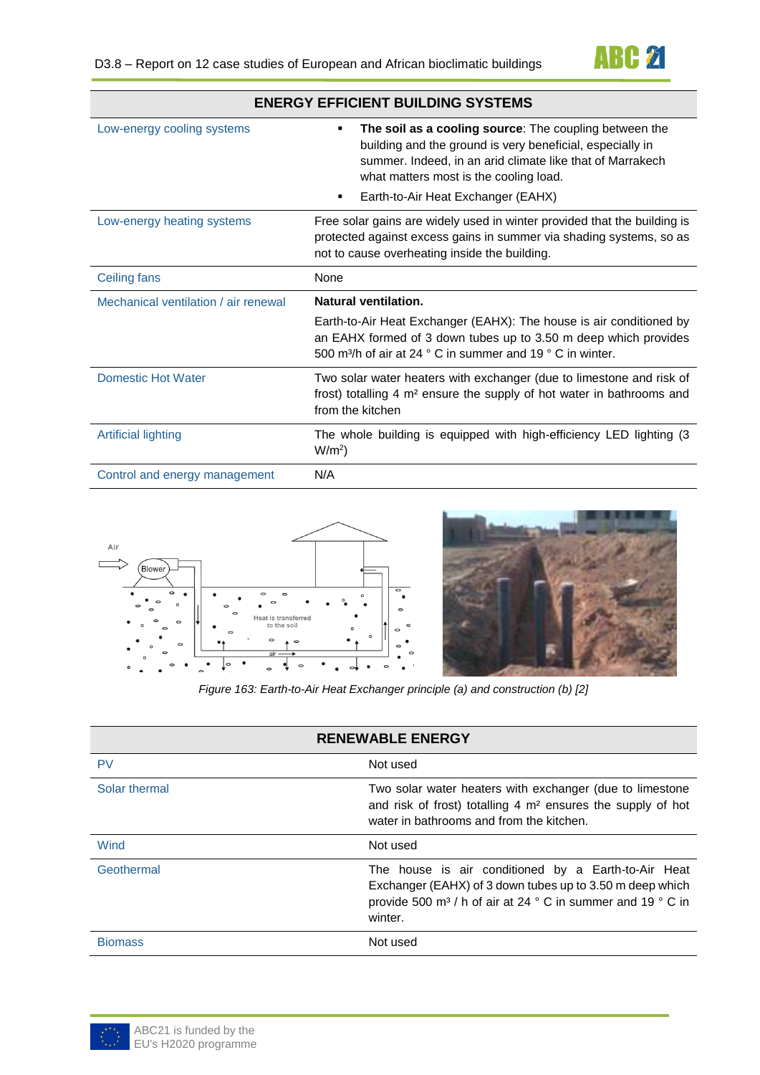

| <b>ENERGY EFFICIENT BUILDING SYSTEMS</b> |                                                                                                                                                                                                                                 |  |
|------------------------------------------|---------------------------------------------------------------------------------------------------------------------------------------------------------------------------------------------------------------------------------|--|
| Low-energy cooling systems               | The soil as a cooling source: The coupling between the<br>٠<br>building and the ground is very beneficial, especially in<br>summer. Indeed, in an arid climate like that of Marrakech<br>what matters most is the cooling load. |  |
|                                          | Earth-to-Air Heat Exchanger (EAHX)                                                                                                                                                                                              |  |
| Low-energy heating systems               | Free solar gains are widely used in winter provided that the building is<br>protected against excess gains in summer via shading systems, so as<br>not to cause overheating inside the building.                                |  |
| Ceiling fans                             | None                                                                                                                                                                                                                            |  |
| Mechanical ventilation / air renewal     | Natural ventilation.                                                                                                                                                                                                            |  |
|                                          |                                                                                                                                                                                                                                 |  |
|                                          | Earth-to-Air Heat Exchanger (EAHX): The house is air conditioned by<br>an EAHX formed of 3 down tubes up to 3.50 m deep which provides<br>500 m <sup>3</sup> /h of air at 24 ° C in summer and 19 ° C in winter.                |  |
| <b>Domestic Hot Water</b>                | Two solar water heaters with exchanger (due to limestone and risk of<br>frost) totalling 4 m <sup>2</sup> ensure the supply of hot water in bathrooms and<br>from the kitchen                                                   |  |
| <b>Artificial lighting</b>               | The whole building is equipped with high-efficiency LED lighting (3<br>$W/m2$ )                                                                                                                                                 |  |





*Figure 163: Earth-to-Air Heat Exchanger principle (a) and construction (b) [2]*

| <b>RENEWABLE ENERGY</b> |                                                                                                                                                                                                       |
|-------------------------|-------------------------------------------------------------------------------------------------------------------------------------------------------------------------------------------------------|
| PV                      | Not used                                                                                                                                                                                              |
| Solar thermal           | Two solar water heaters with exchanger (due to limestone<br>and risk of frost) totalling 4 m <sup>2</sup> ensures the supply of hot<br>water in bathrooms and from the kitchen.                       |
| Wind                    | Not used                                                                                                                                                                                              |
| Geothermal              | The house is air conditioned by a Earth-to-Air Heat<br>Exchanger (EAHX) of 3 down tubes up to 3.50 m deep which<br>provide 500 m <sup>3</sup> / h of air at 24 ° C in summer and 19 ° C in<br>winter. |
| <b>Biomass</b>          | Not used                                                                                                                                                                                              |

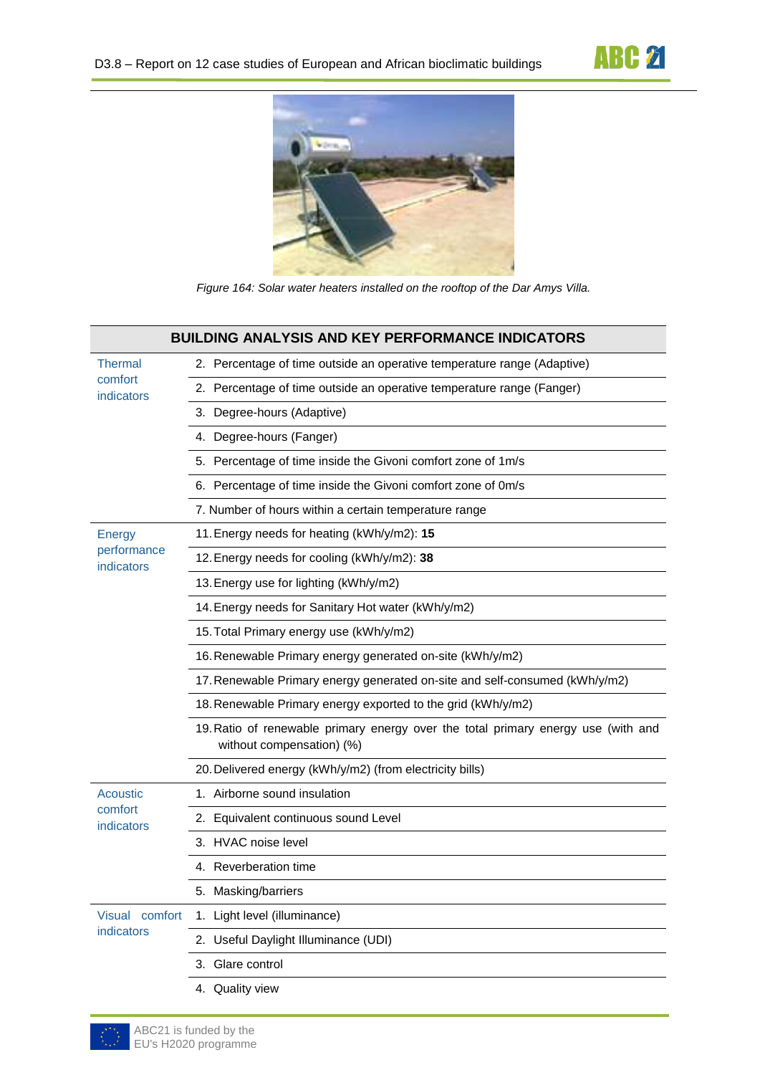



*Figure 164: Solar water heaters installed on the rooftop of the Dar Amys Villa.*

|                                         | <b>BUILDING ANALYSIS AND KEY PERFORMANCE INDICATORS</b>                                                        |
|-----------------------------------------|----------------------------------------------------------------------------------------------------------------|
| <b>Thermal</b><br>comfort<br>indicators | 2. Percentage of time outside an operative temperature range (Adaptive)                                        |
|                                         | 2. Percentage of time outside an operative temperature range (Fanger)                                          |
|                                         | 3. Degree-hours (Adaptive)                                                                                     |
|                                         | 4. Degree-hours (Fanger)                                                                                       |
|                                         | 5. Percentage of time inside the Givoni comfort zone of 1m/s                                                   |
|                                         | 6. Percentage of time inside the Givoni comfort zone of 0m/s                                                   |
|                                         | 7. Number of hours within a certain temperature range                                                          |
| <b>Energy</b>                           | 11. Energy needs for heating (kWh/y/m2): 15                                                                    |
| performance<br>indicators               | 12. Energy needs for cooling (kWh/y/m2): 38                                                                    |
|                                         | 13. Energy use for lighting (kWh/y/m2)                                                                         |
|                                         | 14. Energy needs for Sanitary Hot water (kWh/y/m2)                                                             |
|                                         | 15. Total Primary energy use (kWh/y/m2)                                                                        |
|                                         | 16. Renewable Primary energy generated on-site (kWh/y/m2)                                                      |
|                                         | 17. Renewable Primary energy generated on-site and self-consumed (kWh/y/m2)                                    |
|                                         | 18. Renewable Primary energy exported to the grid (kWh/y/m2)                                                   |
|                                         | 19. Ratio of renewable primary energy over the total primary energy use (with and<br>without compensation) (%) |
|                                         | 20. Delivered energy (kWh/y/m2) (from electricity bills)                                                       |
| Acoustic                                | 1. Airborne sound insulation                                                                                   |
| comfort<br>indicators                   | 2. Equivalent continuous sound Level                                                                           |
|                                         | 3. HVAC noise level                                                                                            |
|                                         | 4. Reverberation time                                                                                          |
|                                         | 5. Masking/barriers                                                                                            |
| Visual comfort<br>indicators            | 1. Light level (illuminance)                                                                                   |
|                                         | 2. Useful Daylight Illuminance (UDI)                                                                           |
|                                         | 3. Glare control                                                                                               |
|                                         | 4. Quality view                                                                                                |